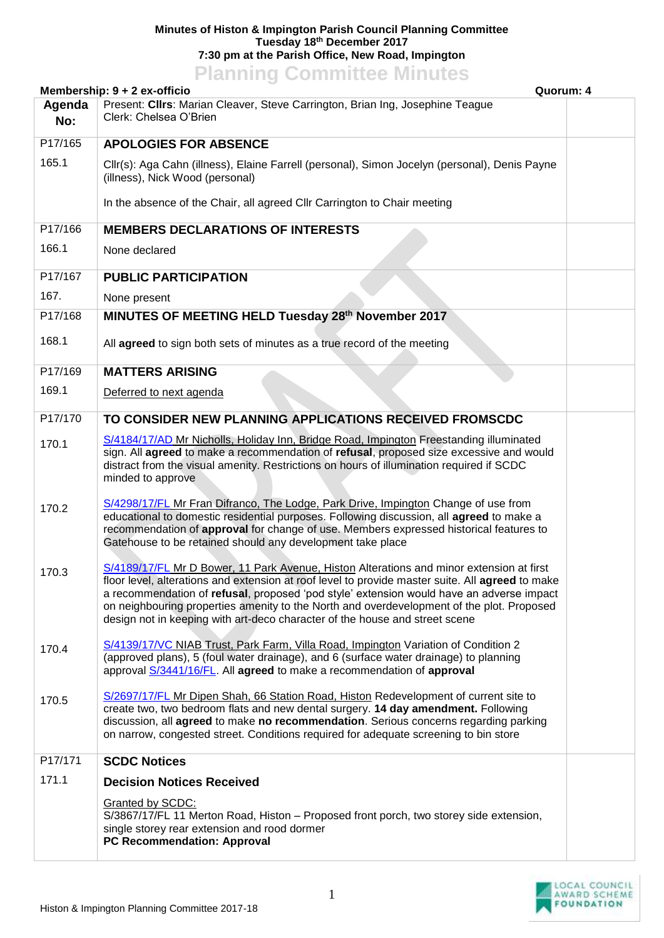## **Minutes of Histon & Impington Parish Council Planning Committee Tuesday 18th December 2017 7:30 pm at the Parish Office, New Road, Impington**

## **Planning Committee Minutes**

| Membership: 9 + 2 ex-officio<br>Quorum: 4 |                                                                                                                                                                                                                                                                                                                                                                                                                                                                      |  |  |
|-------------------------------------------|----------------------------------------------------------------------------------------------------------------------------------------------------------------------------------------------------------------------------------------------------------------------------------------------------------------------------------------------------------------------------------------------------------------------------------------------------------------------|--|--|
| Agenda<br>No:                             | Present: Clirs: Marian Cleaver, Steve Carrington, Brian Ing, Josephine Teague<br>Clerk: Chelsea O'Brien                                                                                                                                                                                                                                                                                                                                                              |  |  |
| P17/165                                   | <b>APOLOGIES FOR ABSENCE</b>                                                                                                                                                                                                                                                                                                                                                                                                                                         |  |  |
| 165.1                                     | Cllr(s): Aga Cahn (illness), Elaine Farrell (personal), Simon Jocelyn (personal), Denis Payne<br>(illness), Nick Wood (personal)                                                                                                                                                                                                                                                                                                                                     |  |  |
|                                           | In the absence of the Chair, all agreed CIIr Carrington to Chair meeting                                                                                                                                                                                                                                                                                                                                                                                             |  |  |
| P17/166                                   | <b>MEMBERS DECLARATIONS OF INTERESTS</b>                                                                                                                                                                                                                                                                                                                                                                                                                             |  |  |
| 166.1                                     | None declared                                                                                                                                                                                                                                                                                                                                                                                                                                                        |  |  |
| P17/167                                   | <b>PUBLIC PARTICIPATION</b>                                                                                                                                                                                                                                                                                                                                                                                                                                          |  |  |
| 167.                                      | None present                                                                                                                                                                                                                                                                                                                                                                                                                                                         |  |  |
| P17/168                                   | MINUTES OF MEETING HELD Tuesday 28th November 2017                                                                                                                                                                                                                                                                                                                                                                                                                   |  |  |
| 168.1                                     | All agreed to sign both sets of minutes as a true record of the meeting                                                                                                                                                                                                                                                                                                                                                                                              |  |  |
| P17/169                                   | <b>MATTERS ARISING</b>                                                                                                                                                                                                                                                                                                                                                                                                                                               |  |  |
| 169.1                                     | Deferred to next agenda                                                                                                                                                                                                                                                                                                                                                                                                                                              |  |  |
| P17/170                                   | TO CONSIDER NEW PLANNING APPLICATIONS RECEIVED FROMSCDC                                                                                                                                                                                                                                                                                                                                                                                                              |  |  |
| 170.1                                     | S/4184/17/AD Mr Nicholls, Holiday Inn, Bridge Road, Impington Freestanding illuminated<br>sign. All agreed to make a recommendation of refusal, proposed size excessive and would<br>distract from the visual amenity. Restrictions on hours of illumination required if SCDC<br>minded to approve                                                                                                                                                                   |  |  |
| 170.2                                     | S/4298/17/FL Mr Fran Difranco, The Lodge, Park Drive, Impington Change of use from<br>educational to domestic residential purposes. Following discussion, all agreed to make a<br>recommendation of approval for change of use. Members expressed historical features to<br>Gatehouse to be retained should any development take place                                                                                                                               |  |  |
| 170.3                                     | S/4189/17/FL Mr D Bower, 11 Park Avenue, Histon Alterations and minor extension at first<br>floor level, alterations and extension at roof level to provide master suite. All agreed to make<br>a recommendation of refusal, proposed 'pod style' extension would have an adverse impact<br>on neighbouring properties amenity to the North and overdevelopment of the plot. Proposed<br>design not in keeping with art-deco character of the house and street scene |  |  |
| 170.4                                     | S/4139/17/VC NIAB Trust, Park Farm, Villa Road, Impington Variation of Condition 2<br>(approved plans), 5 (foul water drainage), and 6 (surface water drainage) to planning<br>approval S/3441/16/FL. All agreed to make a recommendation of approval                                                                                                                                                                                                                |  |  |
| 170.5                                     | S/2697/17/FL Mr Dipen Shah, 66 Station Road, Histon Redevelopment of current site to<br>create two, two bedroom flats and new dental surgery. 14 day amendment. Following<br>discussion, all agreed to make no recommendation. Serious concerns regarding parking<br>on narrow, congested street. Conditions required for adequate screening to bin store                                                                                                            |  |  |
| P17/171                                   | <b>SCDC Notices</b>                                                                                                                                                                                                                                                                                                                                                                                                                                                  |  |  |
| 171.1                                     | <b>Decision Notices Received</b>                                                                                                                                                                                                                                                                                                                                                                                                                                     |  |  |
|                                           | Granted by SCDC:<br>S/3867/17/FL 11 Merton Road, Histon - Proposed front porch, two storey side extension,<br>single storey rear extension and rood dormer<br><b>PC Recommendation: Approval</b>                                                                                                                                                                                                                                                                     |  |  |